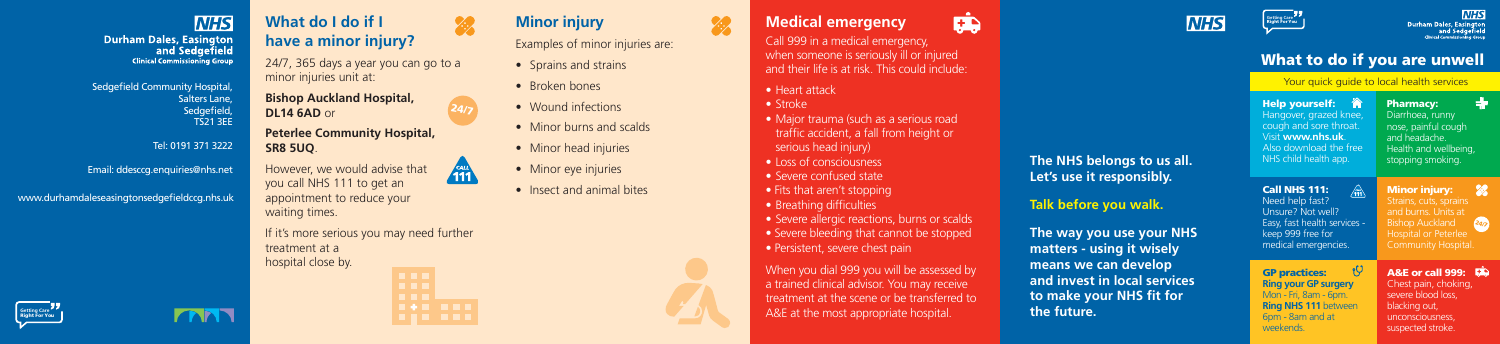

**Durham Dales, Easington**<br>and Sedgefield **Clinical Commissioning Group** 

#### What to do if you are unwell

#### Your quick guide to local health services



**NHS** Durham Dales, Easington<br>and Sedgefield<br>Clinical Commissioning Group

| K<br><b>Help yourself:</b><br>Hangover, grazed knee,<br>cough and sore throat.<br>Visit www.nhs.uk.<br>Also download the free<br>NHS child health app. | <b>Pharmacy:</b><br>Diarrhoea, runny<br>nose, painful cough<br>and headache.<br>Health and wellbeing,<br>stopping smoking.                                    |
|--------------------------------------------------------------------------------------------------------------------------------------------------------|---------------------------------------------------------------------------------------------------------------------------------------------------------------|
| <b>Call NHS 111:</b><br>Need help fast?<br>Unsure? Not well?<br>Easy, fast health services -<br>keep 999 free for<br>medical emergencies.              | <b>Minor injury:</b><br>Strains, cuts, sprains<br>and burns. Units at<br><b>Bishop Auckland</b><br>24/7<br><b>Hospital or Peterlee</b><br>Community Hospital. |
| <b>GP practices:</b><br><b>Ring your GP surgery</b><br>Mon - Fri, 8am - 6pm.<br><b>Ring NHS 111 between</b><br>6pm - 8am and at<br>weekends.           | <b>A&amp;E or call 999:</b><br>Chest pain, choking,<br>severe blood loss,<br>blacking out,<br>unconsciousness,<br>suspected stroke.                           |





#### **What do I do if I have a minor injury?**

24/7, 365 days a year you can go to a minor injuries unit at:

**Bishop Auckland Hospital, DL14 6AD** or

**Peterlee Community Hospital, SR8 5UQ**.

However, we would advise that  $\sqrt{\frac{64H}{11}}$ you call NHS 111 to get an appointment to reduce your

waiting times.

If it's more serious you may need further treatment at a hospital close by.



EŻ,

Call 999 in a medical emergency, when someone is seriously ill or injured and their life is at risk. This could include:

- Heart attack
- Stroke

22

- Major trauma (such as a serious road traffic accident, a fall from height or serious head injury)
- Loss of consciousness
- Severe confused state
- Fits that aren't stopping
- Breathing difficulties
- Severe allergic reactions, burns or scalds
- Severe bleeding that cannot be stopped
- Persistent, severe chest pain

When you dial 999 you will be assessed by a trained clinical advisor. You may receive treatment at the scene or be transferred to A&E at the most appropriate hospital.



www.durhamdaleseasingtonsedgefieldccg.nhs.uk

Sedgefield Community Hospital, Salters Lane, Sedgefield, TS21 3EE

Tel: 0191 371 3222

Email: ddesccg.enquiries@nhs.net

## **Minor injury**

Examples of minor injuries are:

- Sprains and strains
- Broken bones
- Wound infections
- Minor burns and scalds
- Minor head injuries
- Minor eye injuries
- Insect and animal bites



24/7

#### **The NHS belongs to us all. Let's use it responsibly.**

**Talk before you walk.**

**The way you use your NHS matters - using it wisely means we can develop and invest in local services to make your NHS fit for the future.**